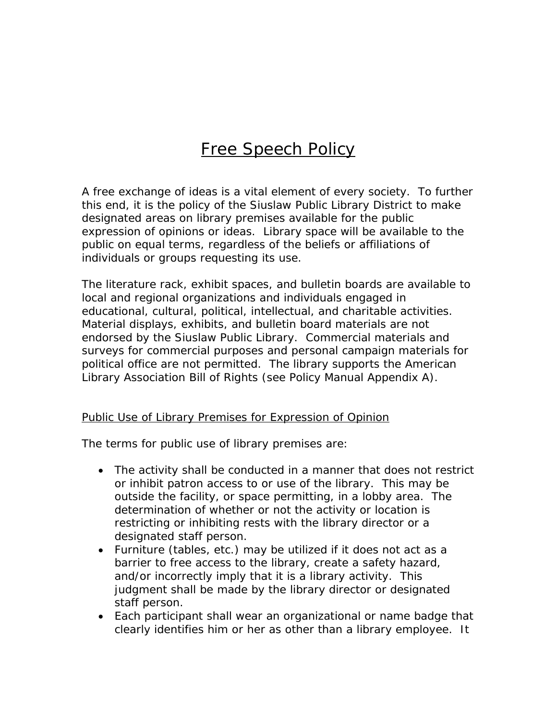## Free Speech Policy

A free exchange of ideas is a vital element of every society. To further this end, it is the policy of the Siuslaw Public Library District to make designated areas on library premises available for the public expression of opinions or ideas. Library space will be available to the public on equal terms, regardless of the beliefs or affiliations of individuals or groups requesting its use.

The literature rack, exhibit spaces, and bulletin boards are available to local and regional organizations and individuals engaged in educational, cultural, political, intellectual, and charitable activities. Material displays, exhibits, and bulletin board materials are not endorsed by the Siuslaw Public Library. Commercial materials and surveys for commercial purposes and personal campaign materials for political office are not permitted. The library supports the American Library Association Bill of Rights (see Policy Manual Appendix A).

## Public Use of Library Premises for Expression of Opinion

The terms for public use of library premises are:

- The activity shall be conducted in a manner that does not restrict or inhibit patron access to or use of the library. This may be outside the facility, or space permitting, in a lobby area. The determination of whether or not the activity or location is restricting or inhibiting rests with the library director or a designated staff person.
- Furniture (tables, etc.) may be utilized if it does not act as a barrier to free access to the library, create a safety hazard, and/or incorrectly imply that it is a library activity. This judgment shall be made by the library director or designated staff person.
- Each participant shall wear an organizational or name badge that clearly identifies him or her as other than a library employee. It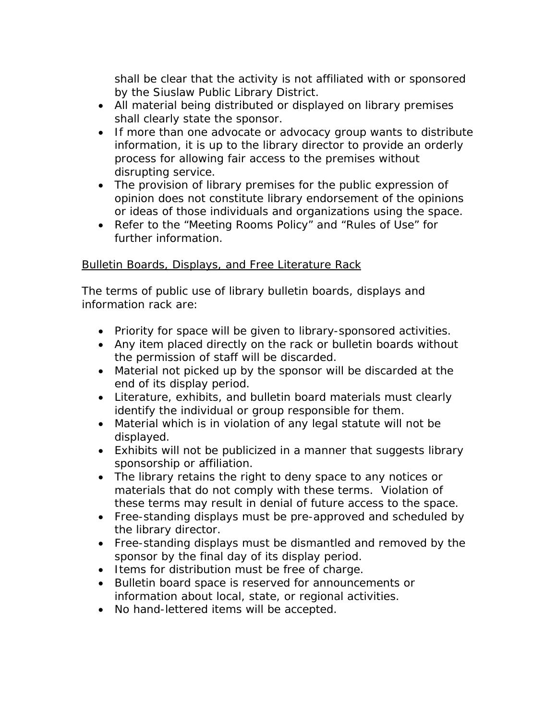shall be clear that the activity is not affiliated with or sponsored by the Siuslaw Public Library District.

- All material being distributed or displayed on library premises shall clearly state the sponsor.
- If more than one advocate or advocacy group wants to distribute information, it is up to the library director to provide an orderly process for allowing fair access to the premises without disrupting service.
- The provision of library premises for the public expression of opinion does not constitute library endorsement of the opinions or ideas of those individuals and organizations using the space.
- Refer to the "Meeting Rooms Policy" and "Rules of Use" for further information.

## Bulletin Boards, Displays, and Free Literature Rack

The terms of public use of library bulletin boards, displays and information rack are:

- Priority for space will be given to library-sponsored activities.
- Any item placed directly on the rack or bulletin boards without the permission of staff will be discarded.
- Material not picked up by the sponsor will be discarded at the end of its display period.
- Literature, exhibits, and bulletin board materials must clearly identify the individual or group responsible for them.
- Material which is in violation of any legal statute will not be displayed.
- Exhibits will not be publicized in a manner that suggests library sponsorship or affiliation.
- The library retains the right to deny space to any notices or materials that do not comply with these terms. Violation of these terms may result in denial of future access to the space.
- Free-standing displays must be pre-approved and scheduled by the library director.
- Free-standing displays must be dismantled and removed by the sponsor by the final day of its display period.
- Items for distribution must be free of charge.
- Bulletin board space is reserved for announcements or information about local, state, or regional activities.
- No hand-lettered items will be accepted.